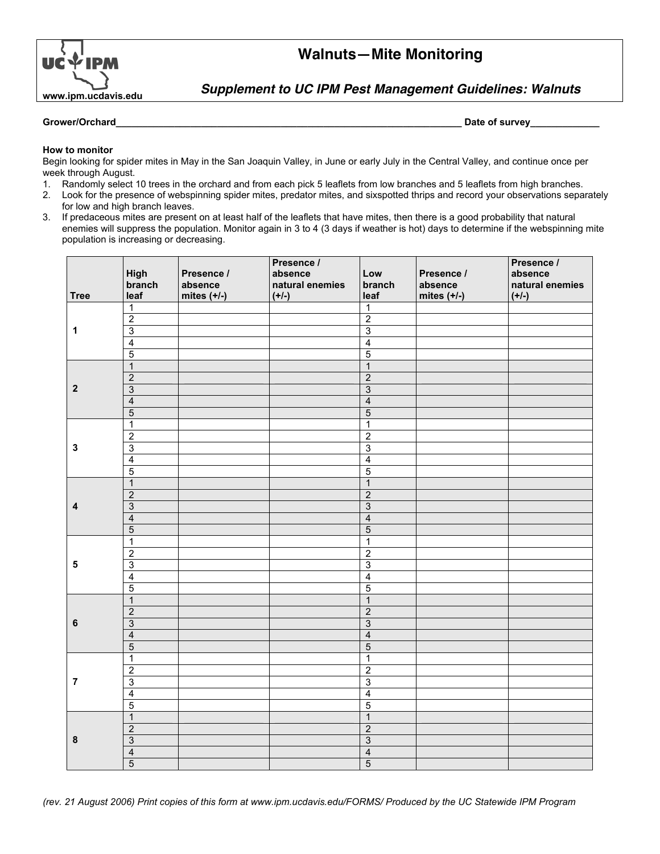

# **Walnuts—Mite Monitoring**

**Supplement to UC IPM Pest Management Guidelines: Walnuts**

## **Grower/Orchard\_\_\_\_\_\_\_\_\_\_\_\_\_\_\_\_\_\_\_\_\_\_\_\_\_\_\_\_\_\_\_\_\_\_\_\_\_\_\_\_\_\_\_\_\_\_\_\_\_\_\_\_\_\_\_\_\_\_\_\_\_\_\_\_\_ Date of survey\_\_\_\_\_\_\_\_\_\_\_\_\_**

# **How to monitor**

Begin looking for spider mites in May in the San Joaquin Valley, in June or early July in the Central Valley, and continue once per week through August.

- 1. Randomly select 10 trees in the orchard and from each pick 5 leaflets from low branches and 5 leaflets from high branches.
- 2. Look for the presence of webspinning spider mites, predator mites, and sixspotted thrips and record your observations separately for low and high branch leaves.
- 3. If predaceous mites are present on at least half of the leaflets that have mites, then there is a good probability that natural enemies will suppress the population. Monitor again in 3 to 4 (3 days if weather is hot) days to determine if the webspinning mite population is increasing or decreasing.

|                |                         |               | Presence /      |                |               | Presence /      |
|----------------|-------------------------|---------------|-----------------|----------------|---------------|-----------------|
|                | High                    | Presence /    | absence         | Low            | Presence /    | absence         |
|                | branch                  | absence       | natural enemies | branch         | absence       | natural enemies |
| <b>Tree</b>    | leaf                    | mites $(+/-)$ | $(+/-)$         | leaf           | mites $(+/-)$ | $(+/-)$         |
|                | $\mathbf{1}$            |               |                 | $\overline{1}$ |               |                 |
| 1              | $\overline{2}$          |               |                 | $\overline{2}$ |               |                 |
|                | $\overline{3}$          |               |                 | $\overline{3}$ |               |                 |
|                | $\overline{4}$          |               |                 | $\overline{4}$ |               |                 |
|                | $\overline{5}$          |               |                 | $\overline{5}$ |               |                 |
| $\mathbf{2}$   | $\mathbf{1}$            |               |                 | $\overline{1}$ |               |                 |
|                | $\overline{2}$          |               |                 | $\overline{2}$ |               |                 |
|                | $\overline{3}$          |               |                 | $\overline{3}$ |               |                 |
|                | $\overline{4}$          |               |                 | $\overline{4}$ |               |                 |
|                | $\overline{5}$          |               |                 | $\overline{5}$ |               |                 |
|                | 1                       |               |                 | $\mathbf{1}$   |               |                 |
|                | $\overline{c}$          |               |                 | $\overline{2}$ |               |                 |
| $\mathbf 3$    | 3                       |               |                 | $\overline{3}$ |               |                 |
|                | 4                       |               |                 | $\overline{4}$ |               |                 |
|                | $\overline{5}$          |               |                 | $\overline{5}$ |               |                 |
|                | $\mathbf{1}$            |               |                 | $\overline{1}$ |               |                 |
|                | $\overline{2}$          |               |                 | $\overline{2}$ |               |                 |
| 4              | $\overline{3}$          |               |                 | $\overline{3}$ |               |                 |
|                | $\overline{4}$          |               |                 | $\overline{4}$ |               |                 |
|                | $\overline{5}$          |               |                 | $\overline{5}$ |               |                 |
|                | $\mathbf{1}$            |               |                 | $\overline{1}$ |               |                 |
|                | $\overline{\mathbf{c}}$ |               |                 | $\overline{2}$ |               |                 |
| $\sqrt{5}$     | $\overline{3}$          |               |                 | $\overline{3}$ |               |                 |
|                | $\overline{4}$          |               |                 | $\overline{4}$ |               |                 |
|                | $\overline{5}$          |               |                 | $\overline{5}$ |               |                 |
| $\bf 6$        | $\overline{1}$          |               |                 | $\overline{1}$ |               |                 |
|                | $\overline{2}$          |               |                 | $\overline{2}$ |               |                 |
|                | $\overline{3}$          |               |                 | $\overline{3}$ |               |                 |
|                | $\overline{\mathbf{4}}$ |               |                 | $\overline{4}$ |               |                 |
|                | $\overline{5}$          |               |                 | $\overline{5}$ |               |                 |
| $\overline{7}$ | $\mathbf 1$             |               |                 | $\overline{1}$ |               |                 |
|                | $\overline{2}$          |               |                 | $\overline{2}$ |               |                 |
|                | $\overline{3}$          |               |                 | $\overline{3}$ |               |                 |
|                | 4                       |               |                 | $\overline{4}$ |               |                 |
|                | $\overline{5}$          |               |                 | $\overline{5}$ |               |                 |
| $\pmb{8}$      | $\mathbf{1}$            |               |                 | $\overline{1}$ |               |                 |
|                | $\overline{2}$          |               |                 | $\overline{2}$ |               |                 |
|                | $\overline{3}$          |               |                 | $\overline{3}$ |               |                 |
|                | 4                       |               |                 | $\overline{4}$ |               |                 |
|                | $\overline{5}$          |               |                 | $\overline{5}$ |               |                 |
|                |                         |               |                 |                |               |                 |